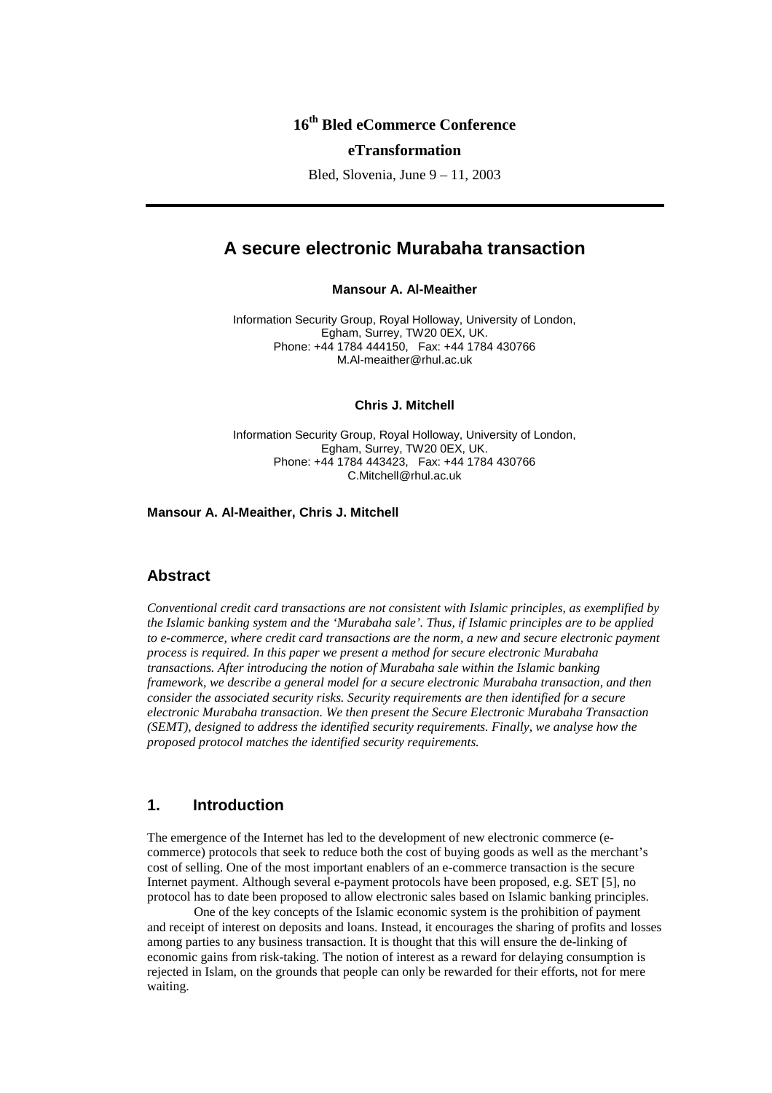# **16th Bled eCommerce Conference**

#### **eTransformation**

Bled, Slovenia, June 9 – 11, 2003

# **A secure electronic Murabaha transaction**

#### **Mansour A. Al-Meaither**

Information Security Group, Royal Holloway, University of London, Egham, Surrey, TW20 0EX, UK. Phone: +44 1784 444150, Fax: +44 1784 430766 M.Al-meaither@rhul.ac.uk

### **Chris J. Mitchell**

Information Security Group, Royal Holloway, University of London, Egham, Surrey, TW20 0EX, UK. Phone: +44 1784 443423, Fax: +44 1784 430766 C.Mitchell@rhul.ac.uk

**Mansour A. Al-Meaither, Chris J. Mitchell**

### **Abstract**

*Conventional credit card transactions are not consistent with Islamic principles, as exemplified by the Islamic banking system and the 'Murabaha sale'. Thus, if Islamic principles are to be applied to e-commerce, where credit card transactions are the norm, a new and secure electronic payment process is required. In this paper we present a method for secure electronic Murabaha transactions. After introducing the notion of Murabaha sale within the Islamic banking framework, we describe a general model for a secure electronic Murabaha transaction, and then consider the associated security risks. Security requirements are then identified for a secure electronic Murabaha transaction. We then present the Secure Electronic Murabaha Transaction (SEMT), designed to address the identified security requirements. Finally, we analyse how the proposed protocol matches the identified security requirements.*

## **1. Introduction**

The emergence of the Internet has led to the development of new electronic commerce (ecommerce) protocols that seek to reduce both the cost of buying goods as well as the merchant's cost of selling. One of the most important enablers of an e-commerce transaction is the secure Internet payment. Although several e-payment protocols have been proposed, e.g. SET [5], no protocol has to date been proposed to allow electronic sales based on Islamic banking principles.

One of the key concepts of the Islamic economic system is the prohibition of payment and receipt of interest on deposits and loans. Instead, it encourages the sharing of profits and losses among parties to any business transaction. It is thought that this will ensure the de-linking of economic gains from risk-taking. The notion of interest as a reward for delaying consumption is rejected in Islam, on the grounds that people can only be rewarded for their efforts, not for mere waiting.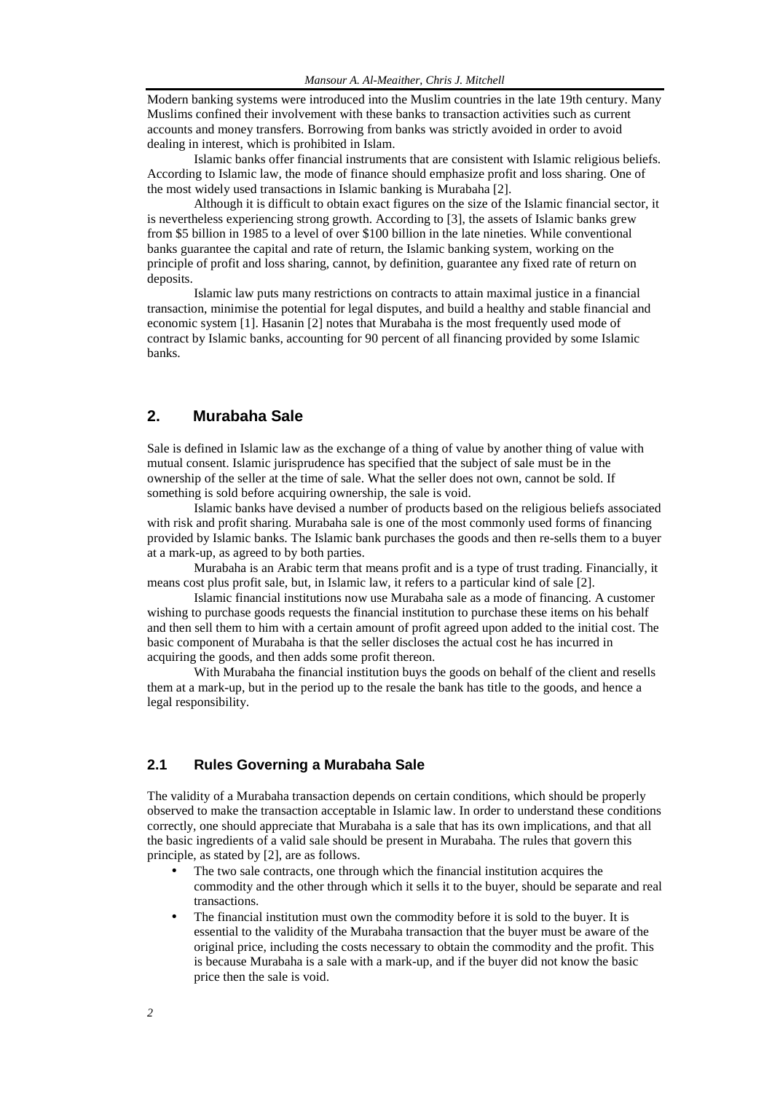Modern banking systems were introduced into the Muslim countries in the late 19th century. Many Muslims confined their involvement with these banks to transaction activities such as current accounts and money transfers. Borrowing from banks was strictly avoided in order to avoid dealing in interest, which is prohibited in Islam.

Islamic banks offer financial instruments that are consistent with Islamic religious beliefs. According to Islamic law, the mode of finance should emphasize profit and loss sharing. One of the most widely used transactions in Islamic banking is Murabaha [2].

Although it is difficult to obtain exact figures on the size of the Islamic financial sector, it is nevertheless experiencing strong growth. According to [3], the assets of Islamic banks grew from \$5 billion in 1985 to a level of over \$100 billion in the late nineties. While conventional banks guarantee the capital and rate of return, the Islamic banking system, working on the principle of profit and loss sharing, cannot, by definition, guarantee any fixed rate of return on deposits.

Islamic law puts many restrictions on contracts to attain maximal justice in a financial transaction, minimise the potential for legal disputes, and build a healthy and stable financial and economic system [1]. Hasanin [2] notes that Murabaha is the most frequently used mode of contract by Islamic banks, accounting for 90 percent of all financing provided by some Islamic banks.

## **2. Murabaha Sale**

Sale is defined in Islamic law as the exchange of a thing of value by another thing of value with mutual consent. Islamic jurisprudence has specified that the subject of sale must be in the ownership of the seller at the time of sale. What the seller does not own, cannot be sold. If something is sold before acquiring ownership, the sale is void.

Islamic banks have devised a number of products based on the religious beliefs associated with risk and profit sharing. Murabaha sale is one of the most commonly used forms of financing provided by Islamic banks. The Islamic bank purchases the goods and then re-sells them to a buyer at a mark-up, as agreed to by both parties.

Murabaha is an Arabic term that means profit and is a type of trust trading. Financially, it means cost plus profit sale, but, in Islamic law, it refers to a particular kind of sale [2].

Islamic financial institutions now use Murabaha sale as a mode of financing. A customer wishing to purchase goods requests the financial institution to purchase these items on his behalf and then sell them to him with a certain amount of profit agreed upon added to the initial cost. The basic component of Murabaha is that the seller discloses the actual cost he has incurred in acquiring the goods, and then adds some profit thereon.

With Murabaha the financial institution buys the goods on behalf of the client and resells them at a mark-up, but in the period up to the resale the bank has title to the goods, and hence a legal responsibility.

## **2.1 Rules Governing a Murabaha Sale**

The validity of a Murabaha transaction depends on certain conditions, which should be properly observed to make the transaction acceptable in Islamic law. In order to understand these conditions correctly, one should appreciate that Murabaha is a sale that has its own implications, and that all the basic ingredients of a valid sale should be present in Murabaha. The rules that govern this principle, as stated by [2], are as follows.

- The two sale contracts, one through which the financial institution acquires the commodity and the other through which it sells it to the buyer, should be separate and real transactions.
- The financial institution must own the commodity before it is sold to the buyer. It is essential to the validity of the Murabaha transaction that the buyer must be aware of the original price, including the costs necessary to obtain the commodity and the profit. This is because Murabaha is a sale with a mark-up, and if the buyer did not know the basic price then the sale is void.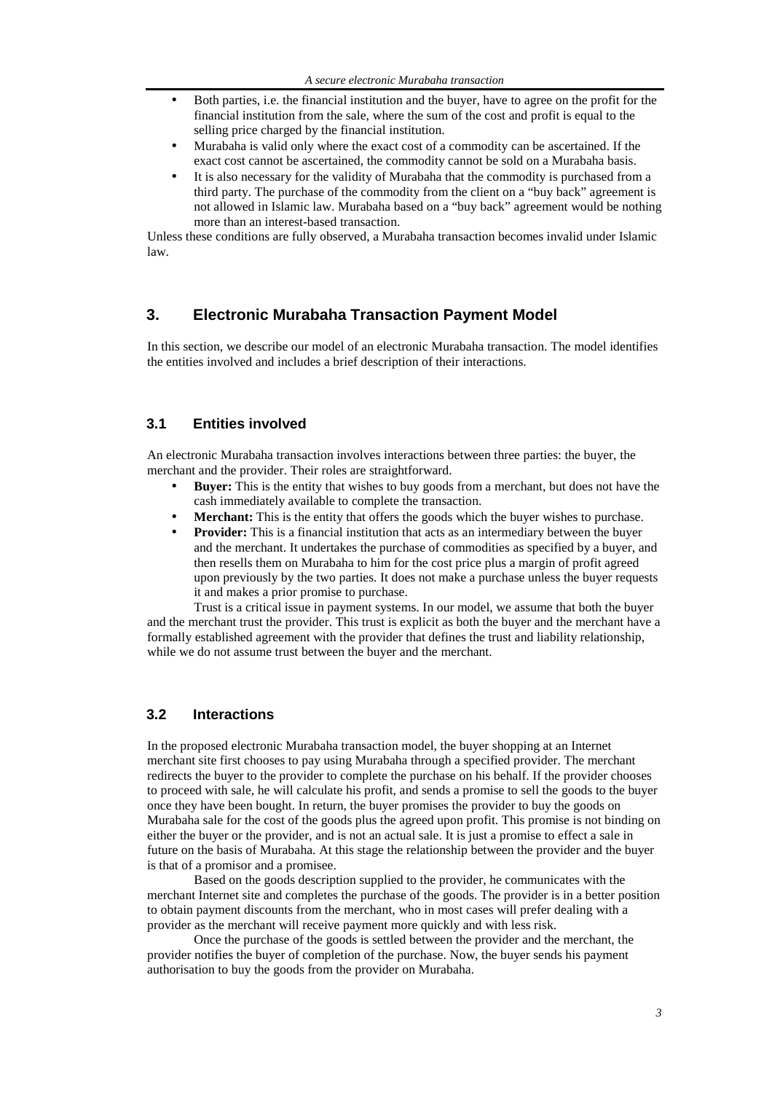- Both parties, i.e. the financial institution and the buyer, have to agree on the profit for the financial institution from the sale, where the sum of the cost and profit is equal to the selling price charged by the financial institution.
- Murabaha is valid only where the exact cost of a commodity can be ascertained. If the exact cost cannot be ascertained, the commodity cannot be sold on a Murabaha basis.
- It is also necessary for the validity of Murabaha that the commodity is purchased from a third party. The purchase of the commodity from the client on a "buy back" agreement is not allowed in Islamic law. Murabaha based on a "buy back" agreement would be nothing more than an interest-based transaction.

Unless these conditions are fully observed, a Murabaha transaction becomes invalid under Islamic law.

## **3. Electronic Murabaha Transaction Payment Model**

In this section, we describe our model of an electronic Murabaha transaction. The model identifies the entities involved and includes a brief description of their interactions.

## **3.1 Entities involved**

An electronic Murabaha transaction involves interactions between three parties: the buyer, the merchant and the provider. Their roles are straightforward.

- **Buyer:** This is the entity that wishes to buy goods from a merchant, but does not have the cash immediately available to complete the transaction.
- **Merchant:** This is the entity that offers the goods which the buyer wishes to purchase.
- **Provider:** This is a financial institution that acts as an intermediary between the buyer and the merchant. It undertakes the purchase of commodities as specified by a buyer, and then resells them on Murabaha to him for the cost price plus a margin of profit agreed upon previously by the two parties. It does not make a purchase unless the buyer requests it and makes a prior promise to purchase.

Trust is a critical issue in payment systems. In our model, we assume that both the buyer and the merchant trust the provider. This trust is explicit as both the buyer and the merchant have a formally established agreement with the provider that defines the trust and liability relationship, while we do not assume trust between the buyer and the merchant.

### **3.2 Interactions**

In the proposed electronic Murabaha transaction model, the buyer shopping at an Internet merchant site first chooses to pay using Murabaha through a specified provider. The merchant redirects the buyer to the provider to complete the purchase on his behalf. If the provider chooses to proceed with sale, he will calculate his profit, and sends a promise to sell the goods to the buyer once they have been bought. In return, the buyer promises the provider to buy the goods on Murabaha sale for the cost of the goods plus the agreed upon profit. This promise is not binding on either the buyer or the provider, and is not an actual sale. It is just a promise to effect a sale in future on the basis of Murabaha. At this stage the relationship between the provider and the buyer is that of a promisor and a promisee.

Based on the goods description supplied to the provider, he communicates with the merchant Internet site and completes the purchase of the goods. The provider is in a better position to obtain payment discounts from the merchant, who in most cases will prefer dealing with a provider as the merchant will receive payment more quickly and with less risk.

Once the purchase of the goods is settled between the provider and the merchant, the provider notifies the buyer of completion of the purchase. Now, the buyer sends his payment authorisation to buy the goods from the provider on Murabaha.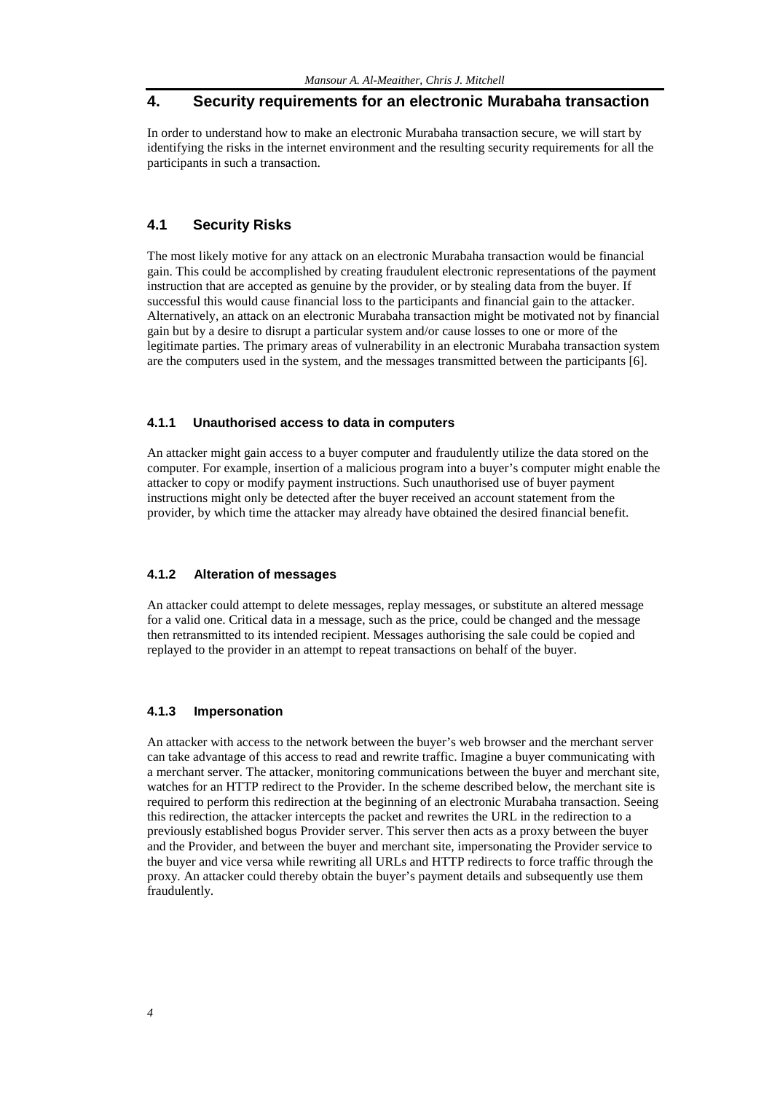## **4. Security requirements for an electronic Murabaha transaction**

In order to understand how to make an electronic Murabaha transaction secure, we will start by identifying the risks in the internet environment and the resulting security requirements for all the participants in such a transaction.

## **4.1 Security Risks**

The most likely motive for any attack on an electronic Murabaha transaction would be financial gain. This could be accomplished by creating fraudulent electronic representations of the payment instruction that are accepted as genuine by the provider, or by stealing data from the buyer. If successful this would cause financial loss to the participants and financial gain to the attacker. Alternatively, an attack on an electronic Murabaha transaction might be motivated not by financial gain but by a desire to disrupt a particular system and/or cause losses to one or more of the legitimate parties. The primary areas of vulnerability in an electronic Murabaha transaction system are the computers used in the system, and the messages transmitted between the participants [6].

#### **4.1.1 Unauthorised access to data in computers**

An attacker might gain access to a buyer computer and fraudulently utilize the data stored on the computer. For example, insertion of a malicious program into a buyer's computer might enable the attacker to copy or modify payment instructions. Such unauthorised use of buyer payment instructions might only be detected after the buyer received an account statement from the provider, by which time the attacker may already have obtained the desired financial benefit.

## **4.1.2 Alteration of messages**

An attacker could attempt to delete messages, replay messages, or substitute an altered message for a valid one. Critical data in a message, such as the price, could be changed and the message then retransmitted to its intended recipient. Messages authorising the sale could be copied and replayed to the provider in an attempt to repeat transactions on behalf of the buyer.

#### **4.1.3 Impersonation**

An attacker with access to the network between the buyer's web browser and the merchant server can take advantage of this access to read and rewrite traffic. Imagine a buyer communicating with a merchant server. The attacker, monitoring communications between the buyer and merchant site, watches for an HTTP redirect to the Provider. In the scheme described below, the merchant site is required to perform this redirection at the beginning of an electronic Murabaha transaction. Seeing this redirection, the attacker intercepts the packet and rewrites the URL in the redirection to a previously established bogus Provider server. This server then acts as a proxy between the buyer and the Provider, and between the buyer and merchant site, impersonating the Provider service to the buyer and vice versa while rewriting all URLs and HTTP redirects to force traffic through the proxy. An attacker could thereby obtain the buyer's payment details and subsequently use them fraudulently.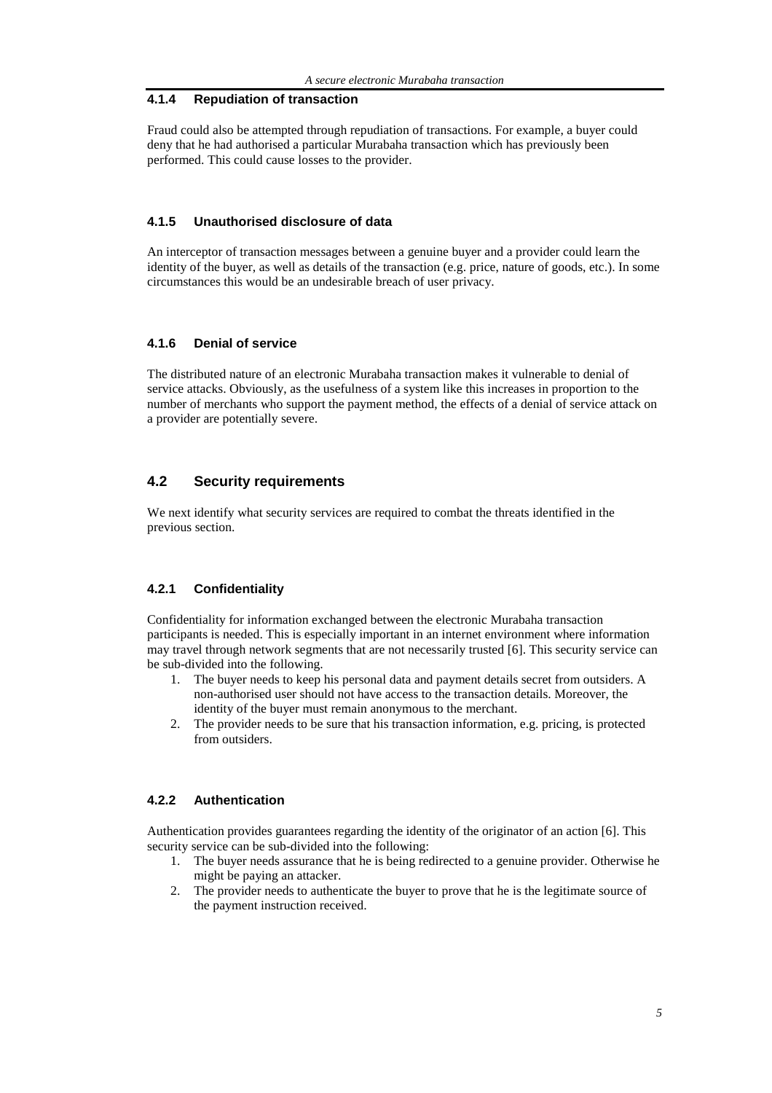#### **4.1.4 Repudiation of transaction**

Fraud could also be attempted through repudiation of transactions. For example, a buyer could deny that he had authorised a particular Murabaha transaction which has previously been performed. This could cause losses to the provider.

### **4.1.5 Unauthorised disclosure of data**

An interceptor of transaction messages between a genuine buyer and a provider could learn the identity of the buyer, as well as details of the transaction (e.g. price, nature of goods, etc.). In some circumstances this would be an undesirable breach of user privacy.

#### **4.1.6 Denial of service**

The distributed nature of an electronic Murabaha transaction makes it vulnerable to denial of service attacks. Obviously, as the usefulness of a system like this increases in proportion to the number of merchants who support the payment method, the effects of a denial of service attack on a provider are potentially severe.

### **4.2 Security requirements**

We next identify what security services are required to combat the threats identified in the previous section.

### **4.2.1 Confidentiality**

Confidentiality for information exchanged between the electronic Murabaha transaction participants is needed. This is especially important in an internet environment where information may travel through network segments that are not necessarily trusted [6]. This security service can be sub-divided into the following.

- 1. The buyer needs to keep his personal data and payment details secret from outsiders. A non-authorised user should not have access to the transaction details. Moreover, the identity of the buyer must remain anonymous to the merchant.
- 2. The provider needs to be sure that his transaction information, e.g. pricing, is protected from outsiders.

#### **4.2.2 Authentication**

Authentication provides guarantees regarding the identity of the originator of an action [6]. This security service can be sub-divided into the following:

- 1. The buyer needs assurance that he is being redirected to a genuine provider. Otherwise he might be paying an attacker.
- 2. The provider needs to authenticate the buyer to prove that he is the legitimate source of the payment instruction received.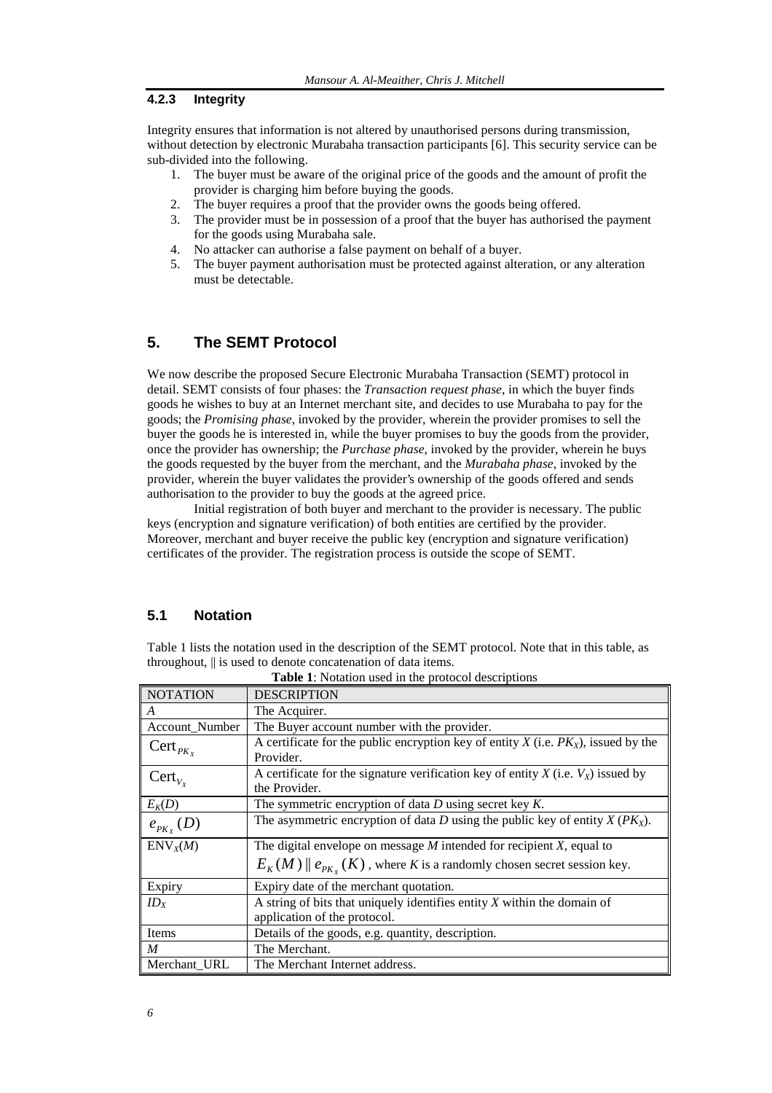### **4.2.3 Integrity**

Integrity ensures that information is not altered by unauthorised persons during transmission, without detection by electronic Murabaha transaction participants [6]. This security service can be sub-divided into the following.

- 1. The buyer must be aware of the original price of the goods and the amount of profit the provider is charging him before buying the goods.
- 2. The buyer requires a proof that the provider owns the goods being offered.
- 3. The provider must be in possession of a proof that the buyer has authorised the payment for the goods using Murabaha sale.
- 4. No attacker can authorise a false payment on behalf of a buyer.
- 5. The buyer payment authorisation must be protected against alteration, or any alteration must be detectable.

## **5. The SEMT Protocol**

We now describe the proposed Secure Electronic Murabaha Transaction (SEMT) protocol in detail. SEMT consists of four phases: the *Transaction request phase*, in which the buyer finds goods he wishes to buy at an Internet merchant site, and decides to use Murabaha to pay for the goods; the *Promising phase*, invoked by the provider, wherein the provider promises to sell the buyer the goods he is interested in, while the buyer promises to buy the goods from the provider, once the provider has ownership; the *Purchase phase*, invoked by the provider, wherein he buys the goods requested by the buyer from the merchant, and the *Murabaha phase*, invoked by the provider, wherein the buyer validates the provider's ownership of the goods offered and sends authorisation to the provider to buy the goods at the agreed price.

Initial registration of both buyer and merchant to the provider is necessary. The public keys (encryption and signature verification) of both entities are certified by the provider. Moreover, merchant and buyer receive the public key (encryption and signature verification) certificates of the provider. The registration process is outside the scope of SEMT.

### **5.1 Notation**

Table 1 lists the notation used in the description of the SEMT protocol. Note that in this table, as throughout, || is used to denote concatenation of data items.

| <b>NOTATION</b>      | <b>DESCRIPTION</b>                                                                                        |
|----------------------|-----------------------------------------------------------------------------------------------------------|
| A                    | The Acquirer.                                                                                             |
| Account_Number       | The Buyer account number with the provider.                                                               |
| $\text{Cert}_{PK_X}$ | A certificate for the public encryption key of entity $X$ (i.e. $PKX$ ), issued by the<br>Provider.       |
| $Cert_{V_X}$         | A certificate for the signature verification key of entity $X$ (i.e. $V_X$ ) issued by<br>the Provider.   |
| $E_K(D)$             | The symmetric encryption of data $D$ using secret key $K$ .                                               |
| $e_{p_{K_{\nu}}}(D)$ | The asymmetric encryption of data D using the public key of entity $X(PK_X)$ .                            |
| $\text{ENV}_X(M)$    | The digital envelope on message $M$ intended for recipient $X$ , equal to                                 |
|                      | $E_K(M)$ $\parallel$ $e_{PK_{\nu}}(K)$ , where K is a randomly chosen secret session key.                 |
| Expiry               | Expiry date of the merchant quotation.                                                                    |
| ID <sub>x</sub>      | A string of bits that uniquely identifies entity $X$ within the domain of<br>application of the protocol. |
| Items                | Details of the goods, e.g. quantity, description.                                                         |
| $\boldsymbol{M}$     | The Merchant.                                                                                             |
| Merchant URL         | The Merchant Internet address.                                                                            |

**Table 1**: Notation used in the protocol descriptions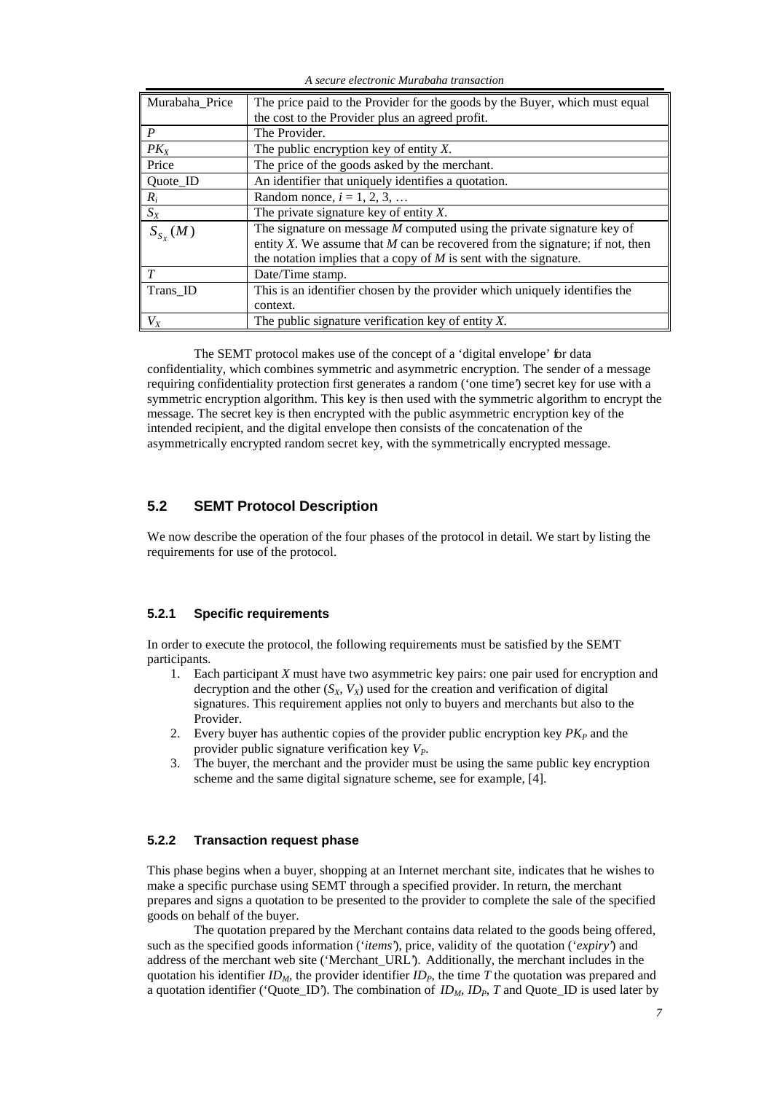*A secure electronic Murabaha transaction*

| Murabaha Price   | The price paid to the Provider for the goods by the Buyer, which must equal    |
|------------------|--------------------------------------------------------------------------------|
|                  | the cost to the Provider plus an agreed profit.                                |
| $\boldsymbol{P}$ | The Provider.                                                                  |
| $PK_X$           | The public encryption key of entity $X$ .                                      |
| Price            | The price of the goods asked by the merchant.                                  |
| Quote_ID         | An identifier that uniquely identifies a quotation.                            |
| $R_i$            | Random nonce, $i = 1, 2, 3, $                                                  |
| $S_X$            | The private signature key of entity $X$ .                                      |
| $S_{S_X}(M)$     | The signature on message $M$ computed using the private signature key of       |
|                  | entity X. We assume that $M$ can be recovered from the signature; if not, then |
|                  | the notation implies that a copy of $M$ is sent with the signature.            |
| T                | Date/Time stamp.                                                               |
| Trans_ID         | This is an identifier chosen by the provider which uniquely identifies the     |
|                  | context.                                                                       |
| $V_X$            | The public signature verification key of entity $X$ .                          |

The SEMT protocol makes use of the concept of a 'digital envelope' for data confidentiality, which combines symmetric and asymmetric encryption. The sender of a message requiring confidentiality protection first generates a random ('one time') secret key for use with a symmetric encryption algorithm. This key is then used with the symmetric algorithm to encrypt the message. The secret key is then encrypted with the public asymmetric encryption key of the intended recipient, and the digital envelope then consists of the concatenation of the asymmetrically encrypted random secret key, with the symmetrically encrypted message.

## **5.2 SEMT Protocol Description**

We now describe the operation of the four phases of the protocol in detail. We start by listing the requirements for use of the protocol.

### **5.2.1 Specific requirements**

In order to execute the protocol, the following requirements must be satisfied by the SEMT participants.

- 1. Each participant *X* must have two asymmetric key pairs: one pair used for encryption and decryption and the other  $(S_X, V_X)$  used for the creation and verification of digital signatures. This requirement applies not only to buyers and merchants but also to the Provider.
- 2. Every buyer has authentic copies of the provider public encryption key  $PK<sub>P</sub>$  and the provider public signature verification key *VP*.
- 3. The buyer, the merchant and the provider must be using the same public key encryption scheme and the same digital signature scheme, see for example, [4].

### **5.2.2 Transaction request phase**

This phase begins when a buyer, shopping at an Internet merchant site, indicates that he wishes to make a specific purchase using SEMT through a specified provider. In return, the merchant prepares and signs a quotation to be presented to the provider to complete the sale of the specified goods on behalf of the buyer.

The quotation prepared by the Merchant contains data related to the goods being offered, such as the specified goods information ('*items*'), price, validity of the quotation ('*expiry*') and address of the merchant web site ('Merchant\_URL'). Additionally, the merchant includes in the quotation his identifier  $ID_M$ , the provider identifier  $ID_P$ , the time  $\overline{T}$  the quotation was prepared and a quotation identifier ('Quote\_ID'). The combination of  $ID_M$ ,  $ID_P$ ,  $T$  and Quote\_ID is used later by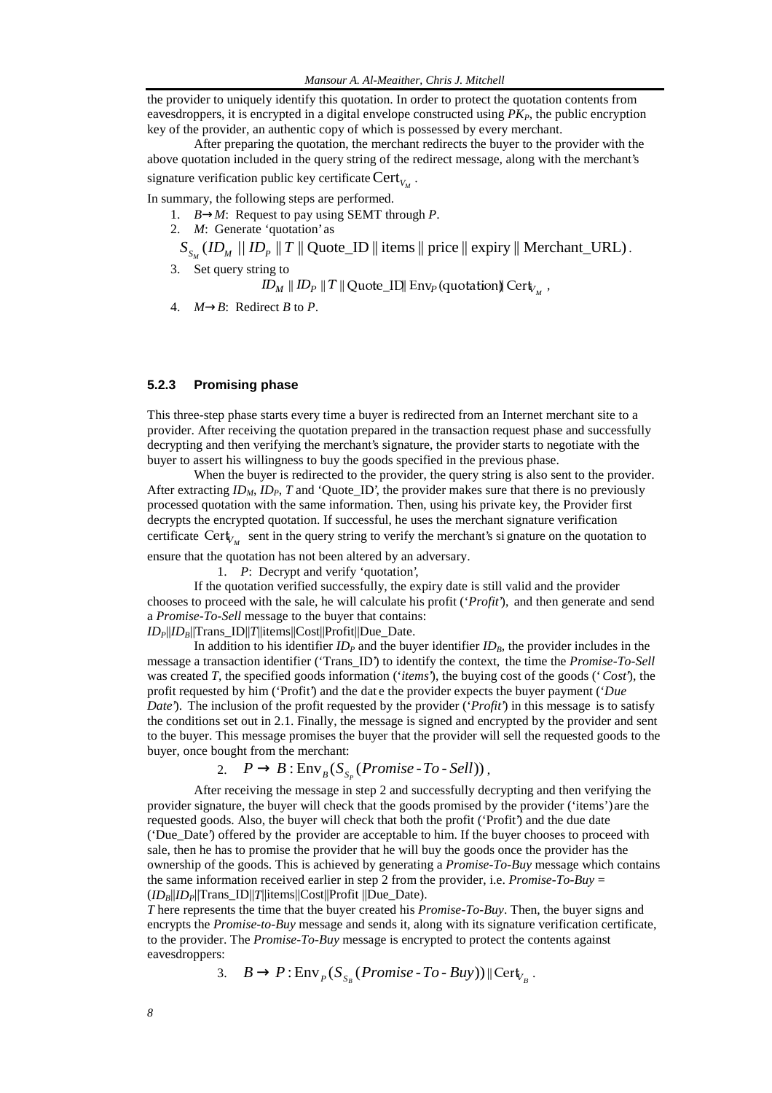the provider to uniquely identify this quotation. In order to protect the quotation contents from eavesdroppers, it is encrypted in a digital envelope constructed using  $PK<sub>P</sub>$ , the public encryption key of the provider, an authentic copy of which is possessed by every merchant.

After preparing the quotation, the merchant redirects the buyer to the provider with the above quotation included in the query string of the redirect message, along with the merchant's signature verification public key certificate  $\text{Cert}_{V_M}$ .

In summary, the following steps are performed.

- 1. *B*→*M*: Request to pay using SEMT through *P*.
- 2. *M*: Generate 'quotation' as
- $S_{S_M}$  (*ID<sub>M</sub>* // *ID<sub>P</sub>* || *T* || Quote\_ID || items || price || expiry || Merchant\_URL).
- 3. Set query string to

 $\mathit{ID}_M \parallel \mathit{ID}_P \parallel T \parallel \text{Quote\_I}\square\parallel \text{Env}_P\left(\text{quotation}\right)\parallel \text{Cert}_{V_M}\;,$ 

4.  $M \rightarrow B$ : Redirect *B* to *P*.

### **5.2.3 Promising phase**

This three-step phase starts every time a buyer is redirected from an Internet merchant site to a provider. After receiving the quotation prepared in the transaction request phase and successfully decrypting and then verifying the merchant's signature, the provider starts to negotiate with the buyer to assert his willingness to buy the goods specified in the previous phase.

When the buyer is redirected to the provider, the query string is also sent to the provider. After extracting  $ID_M$ ,  $ID_P$ ,  $T$  and 'Quote\_ID', the provider makes sure that there is no previously processed quotation with the same information. Then, using his private key, the Provider first decrypts the encrypted quotation. If successful, he uses the merchant signature verification certificate  $\text{Cert}_{V_M}$  sent in the query string to verify the merchant's si gnature on the quotation to

ensure that the quotation has not been altered by an adversary.

1. *P*: Decrypt and verify 'quotation',

If the quotation verified successfully, the expiry date is still valid and the provider chooses to proceed with the sale, he will calculate his profit ('*Profit*'), and then generate and send a *Promise-To-Sell* message to the buyer that contains: *IDP*||*IDB*||Trans\_ID||*T*||items||Cost||Profit||Due\_Date.

In addition to his identifier  $ID<sub>P</sub>$  and the buyer identifier  $ID<sub>B</sub>$ , the provider includes in the message a transaction identifier ('Trans\_ID') to identify the context, the time the *Promise-To-Sell* was created *T*, the specified goods information ('*items*'), the buying cost of the goods ('*Cost*'), the profit requested by him ('Profit') and the dat e the provider expects the buyer payment ('*Due Date*'). The inclusion of the profit requested by the provider (*'Profit'*) in this message is to satisfy the conditions set out in 2.1. Finally, the message is signed and encrypted by the provider and sent to the buyer. This message promises the buyer that the provider will sell the requested goods to the buyer, once bought from the merchant:

2.  $P \rightarrow B : \text{Env}_{B}(S_{S_{P}}(Promise\text{-}To\text{-}Sell)),$ 

After receiving the message in step 2 and successfully decrypting and then verifying the provider signature, the buyer will check that the goods promised by the provider ('items') are the requested goods. Also, the buyer will check that both the profit ('Profit') and the due date ('Due\_Date') offered by the provider are acceptable to him. If the buyer chooses to proceed with sale, then he has to promise the provider that he will buy the goods once the provider has the ownership of the goods. This is achieved by generating a *Promise-To-Buy* message which contains the same information received earlier in step 2 from the provider, i.e. *Promise-To-Buy* = (*IDB*||*IDP*||Trans\_ID||*T*||items||Cost||Profit ||Due\_Date).

*T* here represents the time that the buyer created his *Promise-To-Buy*. Then, the buyer signs and encrypts the *Promise-to-Buy* message and sends it, along with its signature verification certificate, to the provider. The *Promise-To-Buy* message is encrypted to protect the contents against eavesdroppers:

3.  $B \to P : \text{Env}_P(S_{S_B}(Promise \text{ -}To \text{ - }Buy)) \parallel \text{Cert}_{V_B}.$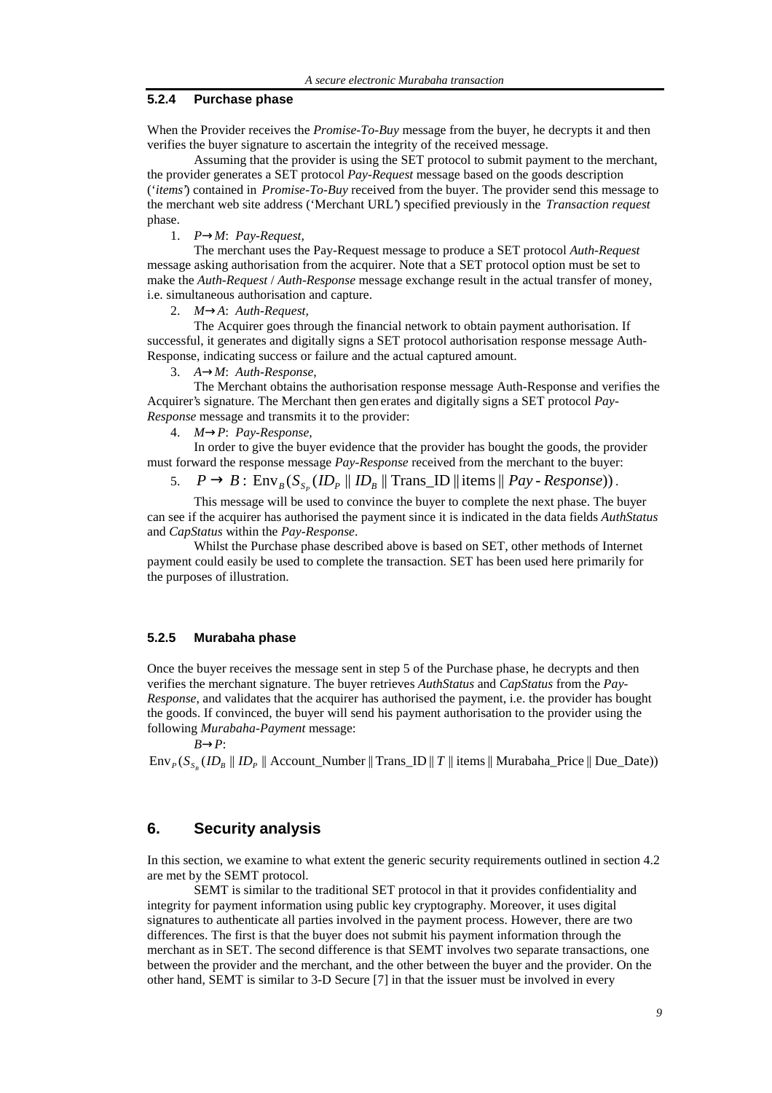#### **5.2.4 Purchase phase**

When the Provider receives the *Promise-To-Buy* message from the buyer, he decrypts it and then verifies the buyer signature to ascertain the integrity of the received message.

Assuming that the provider is using the SET protocol to submit payment to the merchant, the provider generates a SET protocol *Pay-Request* message based on the goods description ('*items*') contained in *Promise-To-Buy* received from the buyer. The provider send this message to the merchant web site address ('Merchant URL') specified previously in the *Transaction request* phase.

1. *P*→*M*: *Pay-Request,*

The merchant uses the Pay-Request message to produce a SET protocol *Auth-Request* message asking authorisation from the acquirer. Note that a SET protocol option must be set to make the *Auth-Request* / *Auth-Response* message exchange result in the actual transfer of money, i.e. simultaneous authorisation and capture.

2. *M*→*A*: *Auth-Request,*

The Acquirer goes through the financial network to obtain payment authorisation. If successful, it generates and digitally signs a SET protocol authorisation response message Auth-Response, indicating success or failure and the actual captured amount.

3. *A*→*M*: *Auth-Response,*

The Merchant obtains the authorisation response message Auth-Response and verifies the Acquirer's signature. The Merchant then gen erates and digitally signs a SET protocol *Pay-Response* message and transmits it to the provider:

4. *M*→*P*: *Pay-Response,*

In order to give the buyer evidence that the provider has bought the goods, the provider must forward the response message *Pay-Response* received from the merchant to the buyer:

5.  $P \rightarrow B$ :  $\text{Env}_B(S_{S_P} (ID_P \parallel ID_B \parallel \text{Trans\_ID} \parallel \text{items} \parallel Pay \text{ - } Response))$ .

This message will be used to convince the buyer to complete the next phase. The buyer can see if the acquirer has authorised the payment since it is indicated in the data fields *AuthStatus* and *CapStatus* within the *Pay-Response*.

Whilst the Purchase phase described above is based on SET, other methods of Internet payment could easily be used to complete the transaction. SET has been used here primarily for the purposes of illustration.

#### **5.2.5 Murabaha phase**

Once the buyer receives the message sent in step 5 of the Purchase phase, he decrypts and then verifies the merchant signature. The buyer retrieves *AuthStatus* and *CapStatus* from the *Pay-Response*, and validates that the acquirer has authorised the payment, i.e. the provider has bought the goods. If convinced, the buyer will send his payment authorisation to the provider using the following *Murabaha-Payment* message:

*B*→*P*:  $\text{Env}_{p}(S_{S_{\rho}}(ID_{R} || ID_{p} || \text{Account\_Number} || \text{Trans\_ID} || T || \text{ items} || \text{ Murabaha\_Price} || \text{Due\_Date}))$ 

## **6. Security analysis**

In this section, we examine to what extent the generic security requirements outlined in section 4.2 are met by the SEMT protocol.

SEMT is similar to the traditional SET protocol in that it provides confidentiality and integrity for payment information using public key cryptography. Moreover, it uses digital signatures to authenticate all parties involved in the payment process. However, there are two differences. The first is that the buyer does not submit his payment information through the merchant as in SET. The second difference is that SEMT involves two separate transactions, one between the provider and the merchant, and the other between the buyer and the provider. On the other hand, SEMT is similar to 3-D Secure [7] in that the issuer must be involved in every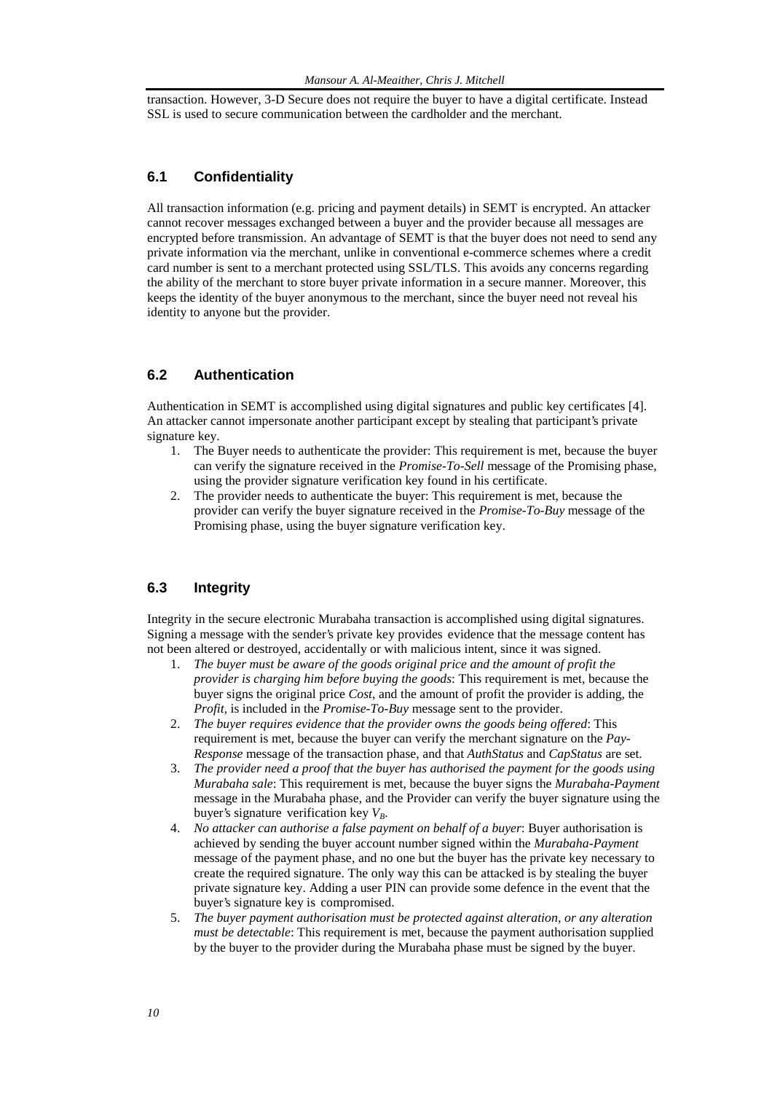transaction. However, 3-D Secure does not require the buyer to have a digital certificate. Instead SSL is used to secure communication between the cardholder and the merchant.

## **6.1 Confidentiality**

All transaction information (e.g. pricing and payment details) in SEMT is encrypted. An attacker cannot recover messages exchanged between a buyer and the provider because all messages are encrypted before transmission. An advantage of SEMT is that the buyer does not need to send any private information via the merchant, unlike in conventional e-commerce schemes where a credit card number is sent to a merchant protected using SSL/TLS. This avoids any concerns regarding the ability of the merchant to store buyer private information in a secure manner. Moreover, this keeps the identity of the buyer anonymous to the merchant, since the buyer need not reveal his identity to anyone but the provider.

## **6.2 Authentication**

Authentication in SEMT is accomplished using digital signatures and public key certificates [4]. An attacker cannot impersonate another participant except by stealing that participant's private signature key.

- 1. The Buyer needs to authenticate the provider: This requirement is met, because the buyer can verify the signature received in the *Promise-To-Sell* message of the Promising phase, using the provider signature verification key found in his certificate.
- 2. The provider needs to authenticate the buyer: This requirement is met, because the provider can verify the buyer signature received in the *Promise-To-Buy* message of the Promising phase, using the buyer signature verification key.

## **6.3 Integrity**

Integrity in the secure electronic Murabaha transaction is accomplished using digital signatures. Signing a message with the sender's private key provides evidence that the message content has not been altered or destroyed, accidentally or with malicious intent, since it was signed.

- 1. *The buyer must be aware of the goods original price and the amount of profit the provider is charging him before buying the goods*: This requirement is met, because the buyer signs the original price *Cost*, and the amount of profit the provider is adding, the *Profit*, is included in the *Promise-To-Buy* message sent to the provider.
- 2. *The buyer requires evidence that the provider owns the goods being offered*: This requirement is met, because the buyer can verify the merchant signature on the *Pay-Response* message of the transaction phase, and that *AuthStatus* and *CapStatus* are set.
- 3. *The provider need a proof that the buyer has authorised the payment for the goods using Murabaha sale*: This requirement is met, because the buyer signs the *Murabaha-Payment* message in the Murabaha phase, and the Provider can verify the buyer signature using the buyer's signature verification key  $V_B$ .
- 4. *No attacker can authorise a false payment on behalf of a buyer*: Buyer authorisation is achieved by sending the buyer account number signed within the *Murabaha-Payment* message of the payment phase, and no one but the buyer has the private key necessary to create the required signature. The only way this can be attacked is by stealing the buyer private signature key. Adding a user PIN can provide some defence in the event that the buyer's signature key is compromised.
- 5. *The buyer payment authorisation must be protected against alteration, or any alteration must be detectable*: This requirement is met, because the payment authorisation supplied by the buyer to the provider during the Murabaha phase must be signed by the buyer.